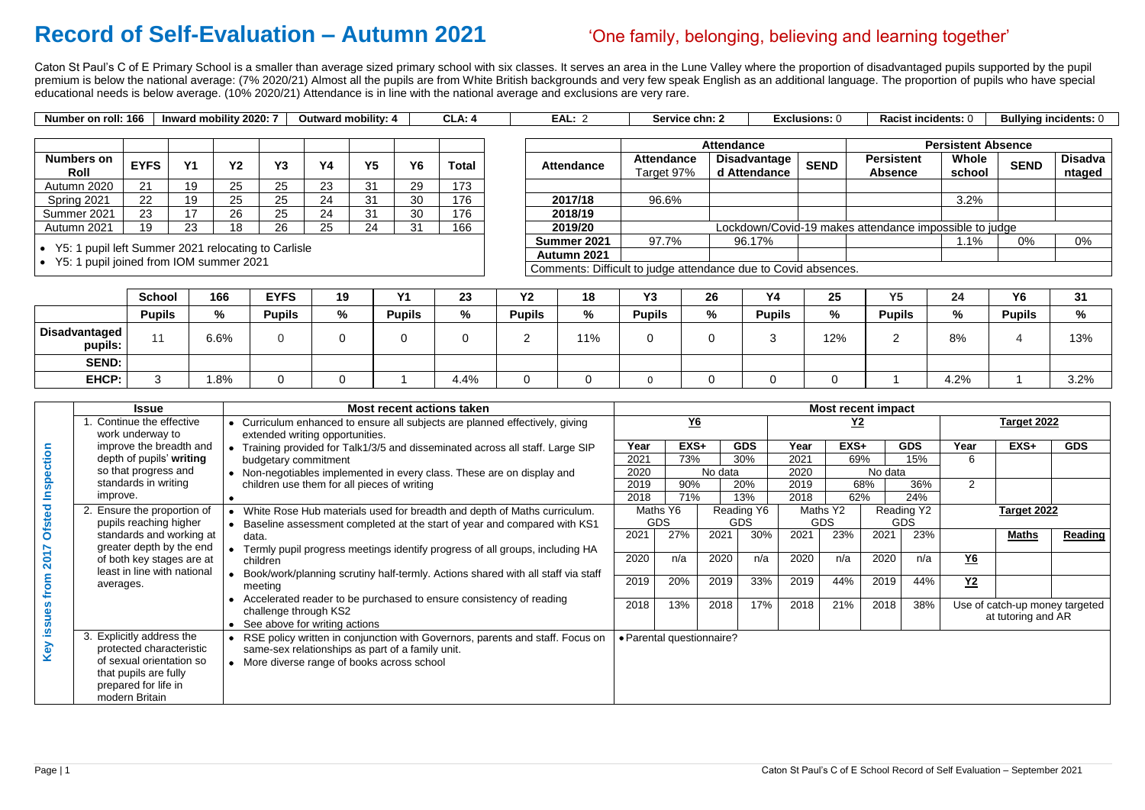## **Record of Self-Evaluation – Autumn 2021** 'One family, belonging, believing and learning together'

Caton St Paul's C of E Primary School is a smaller than average sized primary school with six classes. It serves an area in the Lune Valley where the proportion of disadvantaged pupils supported by the pupil premium is below the national average: (7% 2020/21) Almost all the pupils are from White British backgrounds and very few speak English as an additional language. The proportion of pupils who have special educational needs is below average. (10% 2020/21) Attendance is in line with the national average and exclusions are very rare.

> **Attendance** Target 97% **Disadvantage d** Attendance **SEND 2019/20 Lockdown/Covid-19 makes at Summer 2021** 97.7% 96.17% **Autumn 2021** Comments: Difficult to judge attendance due to Covid absences.

|  | Number of<br>n roll: 166 م. | 2020:<br>' mobility<br><b>Inward</b> | .<br>Outward mobility: 4 |  | — VI<br>-06 | <b>Service chn:</b> | Exclusions: | Racist incidents: | <b>Bullvina incidents:</b> C |
|--|-----------------------------|--------------------------------------|--------------------------|--|-------------|---------------------|-------------|-------------------|------------------------------|
|--|-----------------------------|--------------------------------------|--------------------------|--|-------------|---------------------|-------------|-------------------|------------------------------|

| Racist incidents: 0                 |                           | <b>Bullying incidents: 0</b> |                          |  |  |  |  |
|-------------------------------------|---------------------------|------------------------------|--------------------------|--|--|--|--|
|                                     | <b>Persistent Absence</b> |                              |                          |  |  |  |  |
| <b>Persistent</b><br><b>Absence</b> | <b>Whole</b><br>school    | <b>SEND</b>                  | <b>Disadva</b><br>ntaged |  |  |  |  |
|                                     |                           |                              |                          |  |  |  |  |
|                                     | 3.2%                      |                              |                          |  |  |  |  |
|                                     |                           |                              |                          |  |  |  |  |
| ttendance impossible to judge       |                           |                              |                          |  |  |  |  |
|                                     | 1.1%                      | 0%                           | 0%                       |  |  |  |  |
|                                     |                           |                              |                          |  |  |  |  |

|                           |             |          |              |           |               |                |          |       |                   |                                                  | <b>Attendance</b>                   |             | Persistent                          |               |  |
|---------------------------|-------------|----------|--------------|-----------|---------------|----------------|----------|-------|-------------------|--------------------------------------------------|-------------------------------------|-------------|-------------------------------------|---------------|--|
| <b>Numbers on</b><br>Roll | <b>EYFS</b> | V1       | $\mathbf{v}$ | <b>Y3</b> | Y4            | Y <sub>5</sub> | Y6       | Total | <b>Attendance</b> | <b>Attendance</b><br>Target 97%                  | <b>Disadvantage</b><br>d Attendance | <b>SEND</b> | <b>Persistent</b><br><b>Absence</b> | Whol<br>schoo |  |
| Autumn 2020               | 21          | 19       | つに<br>∠∪     | 25        | າາ<br>دے      | 31             | 29       | 173   |                   |                                                  |                                     |             |                                     |               |  |
| Spring 2021               | 22          | 19       | つに<br>ے      | 25        | $\Omega$<br>4 | 31             | 30       | 176   | 2017/18           | 96.6%                                            |                                     |             |                                     | 3.2%          |  |
| Summer 2021               | 23          | 17       | 26           | 25        | $\Omega$<br>4 | 31             | 30       | 176   | 2018/19           |                                                  |                                     |             |                                     |               |  |
| Autumn 2021               | 19          | ົດ<br>دے | 18           | 26        | つに<br>∠J      | 24             | $\Omega$ | 166   | 2019/20           | Lockdown/Covid-19 makes attendance impossible to |                                     |             |                                     |               |  |

• Y5: 1 pupil left Summer 2021 relocating to Carlisle

• Y5: 1 pupil joined from IOM summer 2021

|                          | <b>School</b> | 166  | <b>EYFS</b>   | 19   | VЛ            | റാ<br>Zυ | <b>Y2</b>     | 18  | $\mathbf{v}$<br>ט ו | 26  | <b>Y4</b>     | 25  | <b>VE</b><br>. <b>ب</b> | 24   | <b>Y6</b>     | 31   |
|--------------------------|---------------|------|---------------|------|---------------|----------|---------------|-----|---------------------|-----|---------------|-----|-------------------------|------|---------------|------|
|                          | <b>Pupils</b> | %    | <b>Pupils</b> | $\%$ | <b>Pupils</b> | %        | <b>Pupils</b> | %   | <b>Pupils</b>       | 0/2 | <b>Pupils</b> |     | <b>Pupils</b>           | %    | <b>Pupils</b> | %    |
| Disadvantaged<br>pupils: |               | 6.6% |               |      |               |          |               | 11% |                     |     |               | 12% | Ð                       | 8%   |               | 13%  |
| <b>SEND:</b>             |               |      |               |      |               |          |               |     |                     |     |               |     |                         |      |               |      |
| EHCP:                    | w             | 1.8% |               |      |               | 4.4%     |               |     |                     |     |               |     |                         | 4.2% |               | 3.2% |

|              | <b>Issue</b>                                     | <b>Most recent actions taken</b>                                                                                                                     |              |            |                           |            |              | <b>Most recent impact</b> |                |            |           |                                                      |                |
|--------------|--------------------------------------------------|------------------------------------------------------------------------------------------------------------------------------------------------------|--------------|------------|---------------------------|------------|--------------|---------------------------|----------------|------------|-----------|------------------------------------------------------|----------------|
|              | Continue the effective                           | Curriculum enhanced to ensure all subjects are planned effectively, giving                                                                           |              | $Y6$       |                           |            |              | <u>Y2</u>                 |                |            |           | <b>Target 2022</b>                                   |                |
|              | work underway to                                 | extended writing opportunities.                                                                                                                      |              |            |                           |            |              |                           |                |            |           |                                                      |                |
| tion         | improve the breadth and                          | Training provided for Talk1/3/5 and disseminated across all staff. Large SIP                                                                         | Year         | EXS+       |                           | <b>GDS</b> | Year<br>2021 | EXS+                      |                | <b>GDS</b> | Year      | EXS+                                                 | <b>GDS</b>     |
|              | depth of pupils' writing<br>so that progress and | budgetary commitment                                                                                                                                 | 2021         | 73%        |                           | 30%        |              | 69%                       |                | 15%        | 6         |                                                      |                |
| <u>ရ</u>     | standards in writing                             | • Non-negotiables implemented in every class. These are on display and                                                                               | 2020         | 90%        | No data                   |            | 2020         |                           | No data<br>68% |            | 2         |                                                      |                |
|              | improve.                                         | children use them for all pieces of writing                                                                                                          | 2019<br>2018 | 71%        |                           | 20%<br>13% | 2019<br>2018 | 62%                       |                | 36%<br>24% |           |                                                      |                |
|              | Ensure the proportion of                         |                                                                                                                                                      |              | Maths Y6   |                           | Reading Y6 |              | Maths Y2                  |                | Reading Y2 |           | <b>Target 2022</b>                                   |                |
| $\mathbf{e}$ | pupils reaching higher                           | White Rose Hub materials used for breadth and depth of Maths curriculum.<br>Baseline assessment completed at the start of year and compared with KS1 |              | <b>GDS</b> |                           | <b>GDS</b> |              | <b>GDS</b>                |                | <b>GDS</b> |           |                                                      |                |
| <b>Ofsi</b>  | standards and working at                         | data.                                                                                                                                                | 2021         | 27%        | 2021                      | 30%        | 2021         | 23%                       | 2021           | 23%        |           | <b>Maths</b>                                         | <b>Reading</b> |
|              | greater depth by the end                         | Termly pupil progress meetings identify progress of all groups, including HA                                                                         |              |            |                           |            |              |                           |                |            |           |                                                      |                |
| 201          | of both key stages are at                        | children                                                                                                                                             | 2020         | n/a        | 2020                      | n/a        | 2020         | n/a                       | 2020           | n/a        | <u>Y6</u> |                                                      |                |
|              | least in line with national                      | Book/work/planning scrutiny half-termly. Actions shared with all staff via staff                                                                     |              |            |                           |            |              |                           |                |            |           |                                                      |                |
| $\circ$      | averages.                                        | meeting                                                                                                                                              | 2019         | 20%        | 2019                      | 33%        | 2019         | 44%                       | 2019           | 44%        | $Y2$      |                                                      |                |
|              |                                                  | Accelerated reader to be purchased to ensure consistency of reading                                                                                  | 2018         | 13%        |                           | 17%        | 2018         | 21%                       |                |            |           |                                                      |                |
|              |                                                  | challenge through KS2                                                                                                                                |              |            | 2018                      |            |              |                           | 2018           | 38%        |           | Use of catch-up money targeted<br>at tutoring and AR |                |
| sue          |                                                  | See above for writing actions                                                                                                                        |              |            |                           |            |              |                           |                |            |           |                                                      |                |
| <u>ີທ</u>    | 3. Explicitly address the                        | RSE policy written in conjunction with Governors, parents and staff. Focus on                                                                        |              |            | · Parental questionnaire? |            |              |                           |                |            |           |                                                      |                |
| Key          | protected characteristic                         | same-sex relationships as part of a family unit.                                                                                                     |              |            |                           |            |              |                           |                |            |           |                                                      |                |
|              | of sexual orientation so                         | • More diverse range of books across school                                                                                                          |              |            |                           |            |              |                           |                |            |           |                                                      |                |
|              | that pupils are fully                            |                                                                                                                                                      |              |            |                           |            |              |                           |                |            |           |                                                      |                |
|              | prepared for life in                             |                                                                                                                                                      |              |            |                           |            |              |                           |                |            |           |                                                      |                |
|              | modern Britain                                   |                                                                                                                                                      |              |            |                           |            |              |                           |                |            |           |                                                      |                |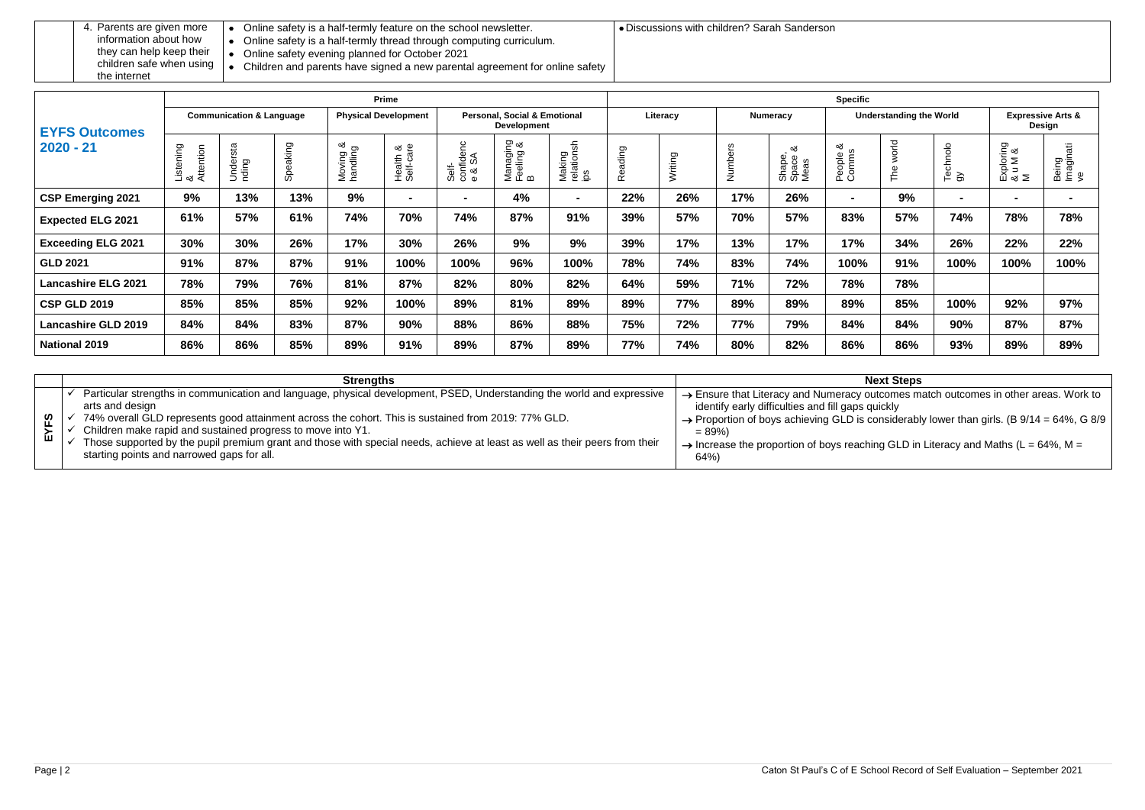## **Next Steps**

outcomes match outcomes in other areas. Work to quickly

considerably lower than girls. (B  $9/14 = 64\%$ , G 8/9

ching GLD in Literacy and Maths (L = 64%, M =

the internet

- Online safety is a half-termly feature on the school newsletter.
- Online safety is a half-termly thread through computing curriculum.
- Online safety evening planned for October 2021
- Discussions with children? Sarah Sanderson
- Children and parents have signed a new parental agreement for online safety

|                            |                             |                                     |          |                             | <b>Prime</b>               |                                                               |                            |                             | <b>Specific</b>     |                 |                                |                                            |                                  |                                        |                |                           |                                     |
|----------------------------|-----------------------------|-------------------------------------|----------|-----------------------------|----------------------------|---------------------------------------------------------------|----------------------------|-----------------------------|---------------------|-----------------|--------------------------------|--------------------------------------------|----------------------------------|----------------------------------------|----------------|---------------------------|-------------------------------------|
| <b>EYFS Outcomes</b>       |                             | <b>Communication &amp; Language</b> |          | <b>Physical Development</b> |                            | <b>Personal, Social &amp; Emotional</b><br><b>Development</b> |                            | Literacy                    |                     | <b>Numeracy</b> | <b>Understanding the World</b> |                                            |                                  | <b>Expressive Arts &amp;</b><br>Design |                |                           |                                     |
| $2020 - 21$                | Listening<br>&<br>Attention | rsta<br>Under<br>nding              | Speaking | ∞ర<br>Moving<br>handling    | ∞ర ®<br>Health<br>Self-cal | ۲C<br>Self-<br>confider<br>e & SA                             | Managing<br>Feeling &<br>B | Making<br>relationsh<br>ips | eading<br>$\propto$ | Writing         | $\vec{z}$                      | య<br>ape,<br>ace<br>Shape<br>Space<br>Meas | య<br>ople<br>eople<br>omm:<br>മധ | world<br>The                           | Technolo<br>gy | Exploring<br>& u M &<br>M | $\vec{a}$<br>Being<br>Imagina<br>ve |
| <b>CSP Emerging 2021</b>   | 9%                          | 13%                                 | 13%      | 9%                          | $\blacksquare$             | $\blacksquare$                                                | 4%                         | $\blacksquare$              | 22%                 | 26%             | 17%                            | 26%                                        | $\blacksquare$                   | 9%                                     | $\blacksquare$ | $\blacksquare$            | $\sim$                              |
| <b>Expected ELG 2021</b>   | 61%                         | 57%                                 | 61%      | 74%                         | 70%                        | 74%                                                           | 87%                        | 91%                         | 39%                 | 57%             | 70%                            | 57%                                        | 83%                              | 57%                                    | 74%            | 78%                       | 78%                                 |
| <b>Exceeding ELG 2021</b>  | 30%                         | 30%                                 | 26%      | 17%                         | 30%                        | 26%                                                           | 9%                         | 9%                          | 39%                 | 17%             | 13%                            | 17%                                        | 17%                              | 34%                                    | 26%            | 22%                       | 22%                                 |
| <b>GLD 2021</b>            | 91%                         | 87%                                 | 87%      | 91%                         | 100%                       | 100%                                                          | 96%                        | 100%                        | 78%                 | 74%             | 83%                            | 74%                                        | 100%                             | 91%                                    | 100%           | 100%                      | 100%                                |
| <b>Lancashire ELG 2021</b> | 78%                         | 79%                                 | 76%      | 81%                         | 87%                        | 82%                                                           | 80%                        | 82%                         | 64%                 | 59%             | 71%                            | 72%                                        | 78%                              | 78%                                    |                |                           |                                     |
| <b>CSP GLD 2019</b>        | 85%                         | 85%                                 | 85%      | 92%                         | 100%                       | 89%                                                           | 81%                        | 89%                         | 89%                 | 77%             | 89%                            | 89%                                        | 89%                              | 85%                                    | 100%           | 92%                       | 97%                                 |
| <b>Lancashire GLD 2019</b> | 84%                         | 84%                                 | 83%      | 87%                         | 90%                        | 88%                                                           | 86%                        | 88%                         | 75%                 | 72%             | 77%                            | 79%                                        | 84%                              | 84%                                    | 90%            | 87%                       | 87%                                 |
| <b>National 2019</b>       | 86%                         | 86%                                 | 85%      | 89%                         | 91%                        | 89%                                                           | 87%                        | 89%                         | 77%                 | 74%             | 80%                            | 82%                                        | 86%                              | 86%                                    | 93%            | 89%                       | 89%                                 |

|          | <b>Strenaths</b>                                                                                                                                                                                                                                                                                                                                                                                                                                                                             |                                                                                                                                                                                                                             |
|----------|----------------------------------------------------------------------------------------------------------------------------------------------------------------------------------------------------------------------------------------------------------------------------------------------------------------------------------------------------------------------------------------------------------------------------------------------------------------------------------------------|-----------------------------------------------------------------------------------------------------------------------------------------------------------------------------------------------------------------------------|
| ဖို<br>ш | Particular strengths in communication and language, physical development, PSED, Understanding the world and expressive<br>arts and design<br>74% overall GLD represents good attainment across the cohort. This is sustained from 2019: 77% GLD.<br>Children make rapid and sustained progress to move into Y1.<br>Those supported by the pupil premium grant and those with special needs, achieve at least as well as their peers from their<br>starting points and narrowed gaps for all. | $\rightarrow$ Ensure that Literacy and Numeracy<br>identify early difficulties and fill gaps<br>$\rightarrow$ Proportion of boys achieving GLD is<br>$= 89\%)$<br>$\rightarrow$ Increase the proportion of boys read<br>64% |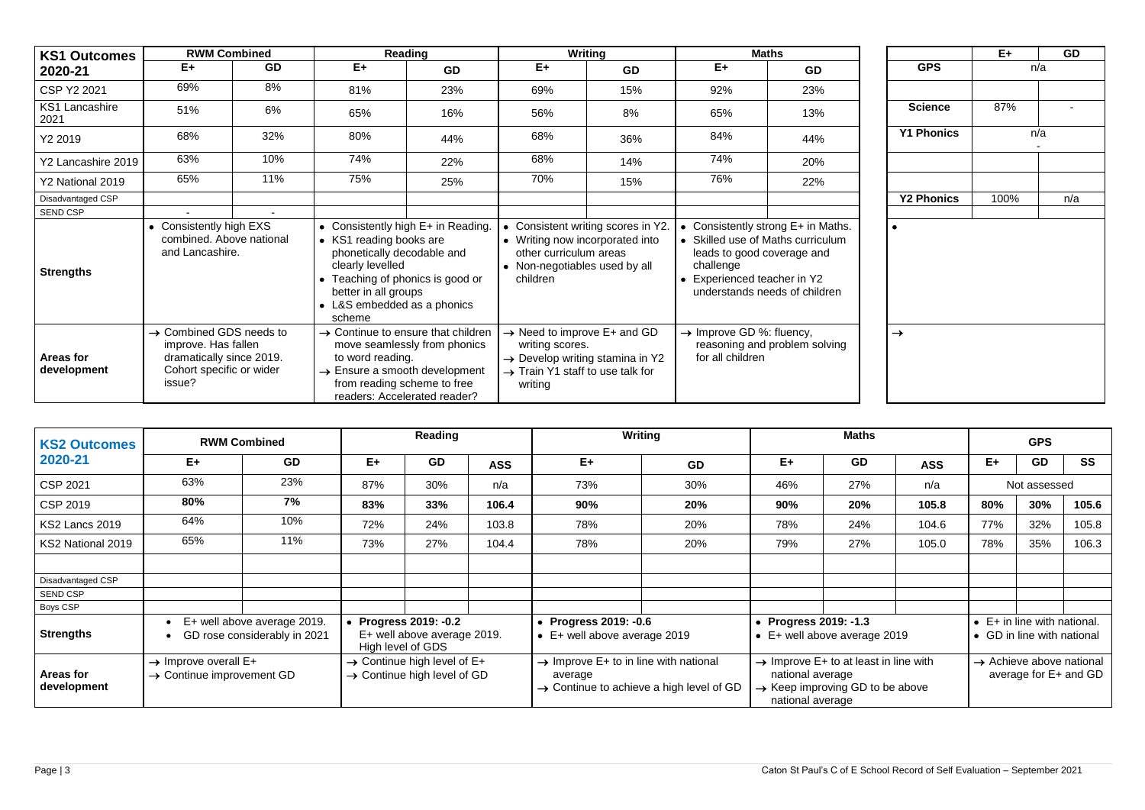| <b>KS1 Outcomes</b>             |                                                                                                                              | <b>RWM Combined</b> | Reading                                                                                                                                                                        |                                                                                                                                                                                            |                                                                            | Writing                                                                                |                                                                        | <b>Maths</b>                                                                                             |                   | $E+$ | <b>GD</b> |
|---------------------------------|------------------------------------------------------------------------------------------------------------------------------|---------------------|--------------------------------------------------------------------------------------------------------------------------------------------------------------------------------|--------------------------------------------------------------------------------------------------------------------------------------------------------------------------------------------|----------------------------------------------------------------------------|----------------------------------------------------------------------------------------|------------------------------------------------------------------------|----------------------------------------------------------------------------------------------------------|-------------------|------|-----------|
| 2020-21                         | $E+$                                                                                                                         | <b>GD</b>           | $E+$                                                                                                                                                                           | GD                                                                                                                                                                                         | $E+$                                                                       | <b>GD</b>                                                                              | $E+$                                                                   | <b>GD</b>                                                                                                | <b>GPS</b>        |      | n/a       |
| CSP Y2 2021                     | 69%                                                                                                                          | 8%                  | 81%                                                                                                                                                                            | 23%                                                                                                                                                                                        | 69%                                                                        | 15%                                                                                    | 92%                                                                    | 23%                                                                                                      |                   |      |           |
| <b>KS1 Lancashire</b><br>2021   | 51%                                                                                                                          | 6%                  | 65%                                                                                                                                                                            | 16%                                                                                                                                                                                        | 56%                                                                        | 8%                                                                                     | 65%                                                                    | 13%                                                                                                      | <b>Science</b>    | 87%  |           |
| Y2 2019                         | 68%                                                                                                                          | 32%                 | 80%                                                                                                                                                                            | 44%                                                                                                                                                                                        | 68%                                                                        | 36%                                                                                    | 84%                                                                    | 44%                                                                                                      | <b>Y1 Phonics</b> |      | n/a       |
| Y2 Lancashire 2019              | 63%                                                                                                                          | 10%                 | 74%                                                                                                                                                                            | 22%                                                                                                                                                                                        | 68%                                                                        | 14%                                                                                    | 74%                                                                    | 20%                                                                                                      |                   |      |           |
| Y2 National 2019                | 65%                                                                                                                          | 11%                 | 75%                                                                                                                                                                            | 25%                                                                                                                                                                                        | 70%                                                                        | 15%                                                                                    | 76%                                                                    | 22%                                                                                                      |                   |      |           |
| Disadvantaged CSP               |                                                                                                                              |                     |                                                                                                                                                                                |                                                                                                                                                                                            |                                                                            |                                                                                        |                                                                        |                                                                                                          | <b>Y2 Phonics</b> | 100% | n/a       |
| SEND CSP                        | $\sim$                                                                                                                       | $\sim$              |                                                                                                                                                                                |                                                                                                                                                                                            |                                                                            |                                                                                        |                                                                        |                                                                                                          |                   |      |           |
| <b>Strengths</b>                | • Consistently high EXS<br>combined. Above national<br>and Lancashire.                                                       |                     | • KS1 reading books are<br>phonetically decodable and<br>clearly levelled<br>• Teaching of phonics is good or<br>better in all groups<br>• L&S embedded as a phonics<br>scheme | • Consistently high E+ in Reading.                                                                                                                                                         | other curriculum areas<br>• Non-negotiables used by all<br>children        | Consistent writing scores in Y2.<br>• Writing now incorporated into                    | leads to good coverage and<br>challenge<br>• Experienced teacher in Y2 | • Consistently strong E+ in Maths.<br>• Skilled use of Maths curriculum<br>understands needs of children | $\bullet$         |      |           |
| <b>Areas for</b><br>development | $\rightarrow$ Combined GDS needs to<br>improve. Has fallen<br>dramatically since 2019.<br>Cohort specific or wider<br>issue? |                     | to word reading.                                                                                                                                                               | $\rightarrow$ Continue to ensure that children<br>move seamlessly from phonics<br>$\rightarrow$ Ensure a smooth development<br>from reading scheme to free<br>readers: Accelerated reader? | writing scores.<br>$\rightarrow$ Train Y1 staff to use talk for<br>writing | $\rightarrow$ Need to improve E+ and GD<br>$\rightarrow$ Develop writing stamina in Y2 | $\rightarrow$ Improve GD %: fluency,<br>for all children               | reasoning and problem solving                                                                            | $\rightarrow$     |      |           |

|                   | $E+$ | GD  |
|-------------------|------|-----|
| <b>GPS</b>        | n/a  |     |
|                   |      |     |
| <b>Science</b>    | 87%  |     |
| <b>Y1 Phonics</b> |      | n/a |
|                   |      |     |
|                   |      |     |
| <b>Y2 Phonics</b> | 100% | n/a |
|                   |      |     |
|                   |      |     |
|                   |      |     |
|                   |      |     |
|                   |      |     |
|                   |      |     |
|                   |      |     |
| $\rightarrow$     |      |     |
|                   |      |     |
|                   |      |     |
|                   |      |     |

| <b>KS2 Outcomes</b>      | <b>RWM Combined</b>              |                                                                                                                                                                                                           | Reading |           |            | <b>Writing</b>                                                                                                                                                                                                                                        |           | <b>GPS</b> |     |                                                                    |                                                               |              |       |
|--------------------------|----------------------------------|-----------------------------------------------------------------------------------------------------------------------------------------------------------------------------------------------------------|---------|-----------|------------|-------------------------------------------------------------------------------------------------------------------------------------------------------------------------------------------------------------------------------------------------------|-----------|------------|-----|--------------------------------------------------------------------|---------------------------------------------------------------|--------------|-------|
| 2020-21                  | $E+$                             | <b>GD</b>                                                                                                                                                                                                 | $E+$    | <b>GD</b> | <b>ASS</b> | $E+$                                                                                                                                                                                                                                                  | <b>GD</b> | $E+$       | GD  | <b>ASS</b>                                                         | $E+$                                                          | GD           | SS    |
| <b>CSP 2021</b>          | 63%                              | 23%                                                                                                                                                                                                       | 87%     | 30%       | n/a        | 73%                                                                                                                                                                                                                                                   | 30%       | 46%        | 27% | n/a                                                                |                                                               | Not assessed |       |
| <b>CSP 2019</b>          | 80%                              | 7%                                                                                                                                                                                                        | 83%     | 33%       | 106.4      | 90%                                                                                                                                                                                                                                                   | 20%       | 90%        | 20% | 105.8                                                              | 80%                                                           | 30%          | 105.6 |
| KS2 Lancs 2019           | 64%                              | 10%                                                                                                                                                                                                       | 72%     | 24%       | 103.8      | 78%                                                                                                                                                                                                                                                   | 20%       | 78%        | 24% | 104.6                                                              | 77%                                                           | 32%          | 105.8 |
| KS2 National 2019        | 65%                              | 11%                                                                                                                                                                                                       | 73%     | 27%       | 104.4      | 78%                                                                                                                                                                                                                                                   | 20%       | 79%        | 27% | 105.0                                                              | 78%                                                           | 35%          | 106.3 |
|                          |                                  |                                                                                                                                                                                                           |         |           |            |                                                                                                                                                                                                                                                       |           |            |     |                                                                    |                                                               |              |       |
| Disadvantaged CSP        |                                  |                                                                                                                                                                                                           |         |           |            |                                                                                                                                                                                                                                                       |           |            |     |                                                                    |                                                               |              |       |
| SEND CSP                 |                                  |                                                                                                                                                                                                           |         |           |            |                                                                                                                                                                                                                                                       |           |            |     |                                                                    |                                                               |              |       |
| Boys CSP                 |                                  |                                                                                                                                                                                                           |         |           |            |                                                                                                                                                                                                                                                       |           |            |     |                                                                    |                                                               |              |       |
| <b>Strengths</b>         |                                  | • Progress 2019: -0.2<br>E+ well above average 2019.<br>• Progress 2019: -0.6<br>E+ well above average 2019.<br>$\bullet$ E+ well above average 2019<br>GD rose considerably in 2021<br>High level of GDS |         |           |            | • Progress 2019: -1.3<br>• E+ well above average 2019                                                                                                                                                                                                 |           |            |     | $\bullet$ E + in line with national.<br>• GD in line with national |                                                               |              |       |
| Areas for<br>development | $\rightarrow$ Improve overall E+ | $\rightarrow$ Continue high level of E+<br>$\rightarrow$ Continue high level of GD<br>$\rightarrow$ Continue improvement GD                                                                               |         |           | average    | $\rightarrow$ Improve E+ to in line with national<br>$\rightarrow$ Improve E+ to at least in line with<br>national average<br>$\rightarrow$ Continue to achieve a high level of GD<br>$\rightarrow$ Keep improving GD to be above<br>national average |           |            |     |                                                                    | $\rightarrow$ Achieve above national<br>average for E+ and GD |              |       |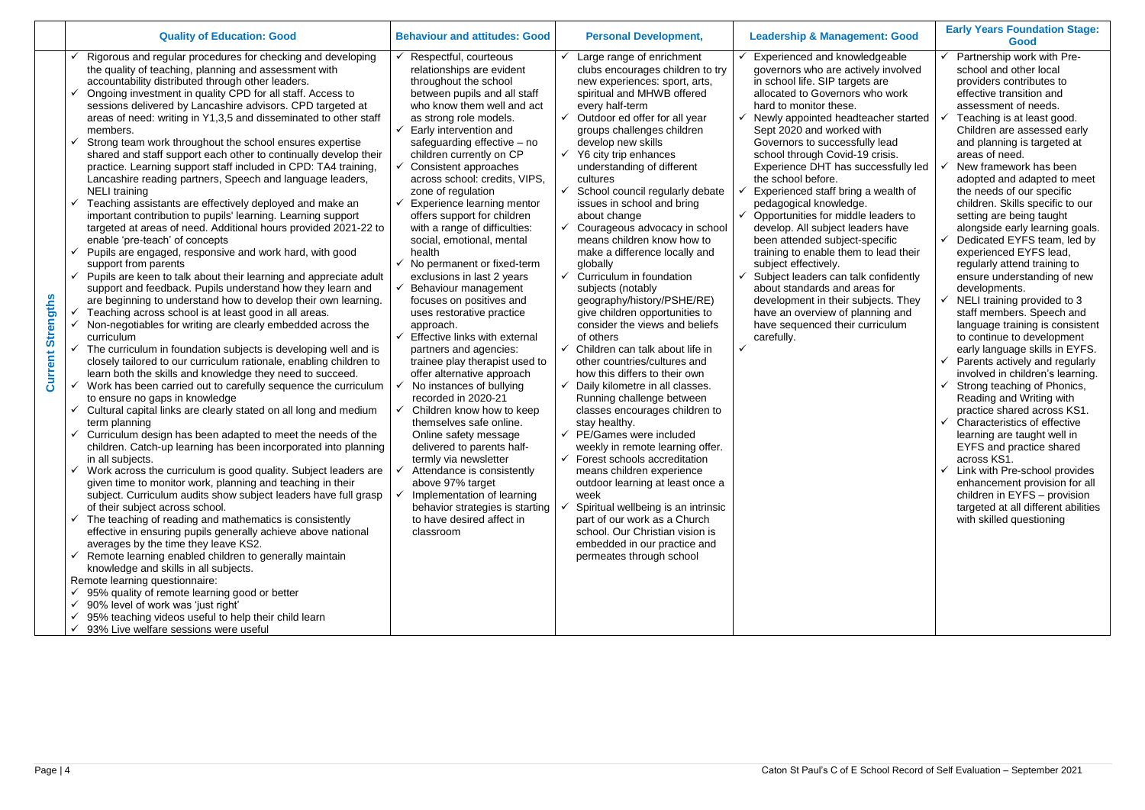| <b>Quality of Education: Good</b>                                                                                                                                                                                                                                                                                                                                                                                                                                                                                                                                                                                                                                                                                                                                                                                                                                                                                                                                                                                                                                                                                                                                                                                                                                                                                                                                                                                                                                                                                                                                                                                                                                                                                                                                                                                                                                                                                                                                                                                                                                                                                                                                                                                                                                                                                                                                                                                                                                                                                                                                                                                                                                 | <b>Behaviour and attitudes: Good</b>                                                                                                                                                                                                                                                                                                                                                                                                                                                                                                                                                                                                                                                                                                                                                                                                                                                                                                                                                                                                                                                                                                                                 | <b>Personal Development,</b>                                                                                                                                                                                                                                                                                                                                                                                                                                                                                                                                                                                                                                                                                                                                                                                                                                                                                                                                                                                                                                                                                                                                                                                                                                                                                                                                              | <b>Leadership &amp; Management: Good</b>                                                                                                                                                                                                                                                                                                                                                                                                                                                                                                                                                                                                                                                                                                                                                                                                     | <b>Early Years Foundation Stage:</b><br>Good                                                                                                                                                                                                                                                                                                                                                                                                                                                                                                                                                                                                                                                                                                                                                                                                                                                                                                                                                                                                                                                                                                                                                                    |
|-------------------------------------------------------------------------------------------------------------------------------------------------------------------------------------------------------------------------------------------------------------------------------------------------------------------------------------------------------------------------------------------------------------------------------------------------------------------------------------------------------------------------------------------------------------------------------------------------------------------------------------------------------------------------------------------------------------------------------------------------------------------------------------------------------------------------------------------------------------------------------------------------------------------------------------------------------------------------------------------------------------------------------------------------------------------------------------------------------------------------------------------------------------------------------------------------------------------------------------------------------------------------------------------------------------------------------------------------------------------------------------------------------------------------------------------------------------------------------------------------------------------------------------------------------------------------------------------------------------------------------------------------------------------------------------------------------------------------------------------------------------------------------------------------------------------------------------------------------------------------------------------------------------------------------------------------------------------------------------------------------------------------------------------------------------------------------------------------------------------------------------------------------------------------------------------------------------------------------------------------------------------------------------------------------------------------------------------------------------------------------------------------------------------------------------------------------------------------------------------------------------------------------------------------------------------------------------------------------------------------------------------------------------------|----------------------------------------------------------------------------------------------------------------------------------------------------------------------------------------------------------------------------------------------------------------------------------------------------------------------------------------------------------------------------------------------------------------------------------------------------------------------------------------------------------------------------------------------------------------------------------------------------------------------------------------------------------------------------------------------------------------------------------------------------------------------------------------------------------------------------------------------------------------------------------------------------------------------------------------------------------------------------------------------------------------------------------------------------------------------------------------------------------------------------------------------------------------------|---------------------------------------------------------------------------------------------------------------------------------------------------------------------------------------------------------------------------------------------------------------------------------------------------------------------------------------------------------------------------------------------------------------------------------------------------------------------------------------------------------------------------------------------------------------------------------------------------------------------------------------------------------------------------------------------------------------------------------------------------------------------------------------------------------------------------------------------------------------------------------------------------------------------------------------------------------------------------------------------------------------------------------------------------------------------------------------------------------------------------------------------------------------------------------------------------------------------------------------------------------------------------------------------------------------------------------------------------------------------------|----------------------------------------------------------------------------------------------------------------------------------------------------------------------------------------------------------------------------------------------------------------------------------------------------------------------------------------------------------------------------------------------------------------------------------------------------------------------------------------------------------------------------------------------------------------------------------------------------------------------------------------------------------------------------------------------------------------------------------------------------------------------------------------------------------------------------------------------|-----------------------------------------------------------------------------------------------------------------------------------------------------------------------------------------------------------------------------------------------------------------------------------------------------------------------------------------------------------------------------------------------------------------------------------------------------------------------------------------------------------------------------------------------------------------------------------------------------------------------------------------------------------------------------------------------------------------------------------------------------------------------------------------------------------------------------------------------------------------------------------------------------------------------------------------------------------------------------------------------------------------------------------------------------------------------------------------------------------------------------------------------------------------------------------------------------------------|
| Rigorous and regular procedures for checking and developing<br>the quality of teaching, planning and assessment with<br>accountability distributed through other leaders.<br>Ongoing investment in quality CPD for all staff. Access to<br>sessions delivered by Lancashire advisors. CPD targeted at<br>areas of need: writing in Y1,3,5 and disseminated to other staff<br>members.<br>Strong team work throughout the school ensures expertise<br>shared and staff support each other to continually develop their<br>practice. Learning support staff included in CPD: TA4 training,<br>Lancashire reading partners, Speech and language leaders,<br><b>NELI</b> training<br>Teaching assistants are effectively deployed and make an<br>important contribution to pupils' learning. Learning support<br>targeted at areas of need. Additional hours provided 2021-22 to<br>enable 'pre-teach' of concepts<br>Pupils are engaged, responsive and work hard, with good<br>support from parents<br>Pupils are keen to talk about their learning and appreciate adult<br>support and feedback. Pupils understand how they learn and<br>ngths<br>are beginning to understand how to develop their own learning.<br>Teaching across school is at least good in all areas.<br>Non-negotiables for writing are clearly embedded across the<br>curriculum<br>The curriculum in foundation subjects is developing well and is<br>urrent<br>closely tailored to our curriculum rationale, enabling children to<br>learn both the skills and knowledge they need to succeed.<br>Work has been carried out to carefully sequence the curriculum<br>ω<br>to ensure no gaps in knowledge<br>Cultural capital links are clearly stated on all long and medium<br>term planning<br>Curriculum design has been adapted to meet the needs of the<br>children. Catch-up learning has been incorporated into planning<br>in all subjects.<br>Work across the curriculum is good quality. Subject leaders are<br>given time to monitor work, planning and teaching in their<br>subject. Curriculum audits show subject leaders have full grasp<br>of their subject across school.<br>The teaching of reading and mathematics is consistently<br>effective in ensuring pupils generally achieve above national<br>averages by the time they leave KS2.<br>Remote learning enabled children to generally maintain<br>knowledge and skills in all subjects.<br>Remote learning questionnaire:<br>95% quality of remote learning good or better<br>90% level of work was 'just right'<br>95% teaching videos useful to help their child learn<br>93% Live welfare sessions were useful | Respectful, courteous<br>relationships are evident<br>throughout the school<br>between pupils and all staff<br>who know them well and act<br>as strong role models.<br>Early intervention and<br>safeguarding effective - no<br>children currently on CP<br>Consistent approaches<br>across school: credits, VIPS,<br>zone of regulation<br>$\checkmark$<br>Experience learning mentor<br>offers support for children<br>with a range of difficulties:<br>social, emotional, mental<br>health<br>$\checkmark$ No permanent or fixed-term<br>exclusions in last 2 years<br>Behaviour management<br>focuses on positives and<br>uses restorative practice<br>approach.<br>$\checkmark$ Effective links with external<br>partners and agencies:<br>trainee play therapist used to<br>offer alternative approach<br>No instances of bullying<br>recorded in 2020-21<br>Children know how to keep<br>themselves safe online.<br>Online safety message<br>delivered to parents half-<br>termly via newsletter<br>Attendance is consistently<br>above 97% target<br>Implementation of learning<br>behavior strategies is starting<br>to have desired affect in<br>classroom | Large range of enrichment<br>$\checkmark$<br>clubs encourages children to try<br>new experiences: sport, arts,<br>spiritual and MHWB offered<br>every half-term<br>Outdoor ed offer for all year<br>$\checkmark$<br>groups challenges children<br>develop new skills<br>$\checkmark$<br>Y6 city trip enhances<br>understanding of different<br>cultures<br>School council regularly debate<br>$\checkmark$<br>issues in school and bring<br>about change<br>Courageous advocacy in school<br>means children know how to<br>make a difference locally and<br>globally<br>$\checkmark$ Curriculum in foundation<br>subjects (notably<br>geography/history/PSHE/RE)<br>give children opportunities to<br>consider the views and beliefs<br>of others<br>$\checkmark$ Children can talk about life in<br>other countries/cultures and<br>how this differs to their own<br>$\checkmark$ Daily kilometre in all classes.<br>Running challenge between<br>classes encourages children to<br>stay healthy.<br>$\checkmark$ PE/Games were included<br>weekly in remote learning offer.<br>$\checkmark$ Forest schools accreditation<br>means children experience<br>outdoor learning at least once a<br>week<br>Spiritual wellbeing is an intrinsic<br>part of our work as a Church<br>school. Our Christian vision is<br>embedded in our practice and<br>permeates through school | Experienced and knowledgeable<br>governors who are actively involved<br>in school life. SIP targets are<br>allocated to Governors who work<br>hard to monitor these.<br>Newly appointed headteacher started<br>Sept 2020 and worked with<br>Governors to successfully lead<br>school through Covid-19 crisis.<br>Experience DHT has successfully led<br>the school before.<br>Experienced staff bring a wealth of<br>pedagogical knowledge.<br>$\checkmark$ Opportunities for middle leaders to<br>develop. All subject leaders have<br>been attended subject-specific<br>training to enable them to lead their<br>subject effectively.<br>Subject leaders can talk confidently<br>about standards and areas for<br>development in their subjects. They<br>have an overview of planning and<br>have sequenced their curriculum<br>carefully. | Partnership work with Pre-<br>school and other local<br>providers contributes to<br>effective transition and<br>assessment of needs.<br>Teaching is at least good.<br>Children are assessed early<br>and planning is targeted at<br>areas of need.<br>New framework has been<br>adopted and adapted to meet<br>the needs of our specific<br>children. Skills specific to our<br>setting are being taught<br>alongside early learning goals.<br>Dedicated EYFS team, led by<br>experienced EYFS lead,<br>regularly attend training to<br>ensure understanding of new<br>developments.<br>NELI training provided to 3<br>staff members. Speech and<br>language training is consistent<br>to continue to development<br>early language skills in EYFS.<br>Parents actively and regularly<br>involved in children's learning.<br>Strong teaching of Phonics,<br>Reading and Writing with<br>practice shared across KS1.<br>Characteristics of effective<br>learning are taught well in<br>EYFS and practice shared<br>across KS1.<br>$\checkmark$ Link with Pre-school provides<br>enhancement provision for all<br>children in EYFS - provision<br>targeted at all different abilities<br>with skilled questioning |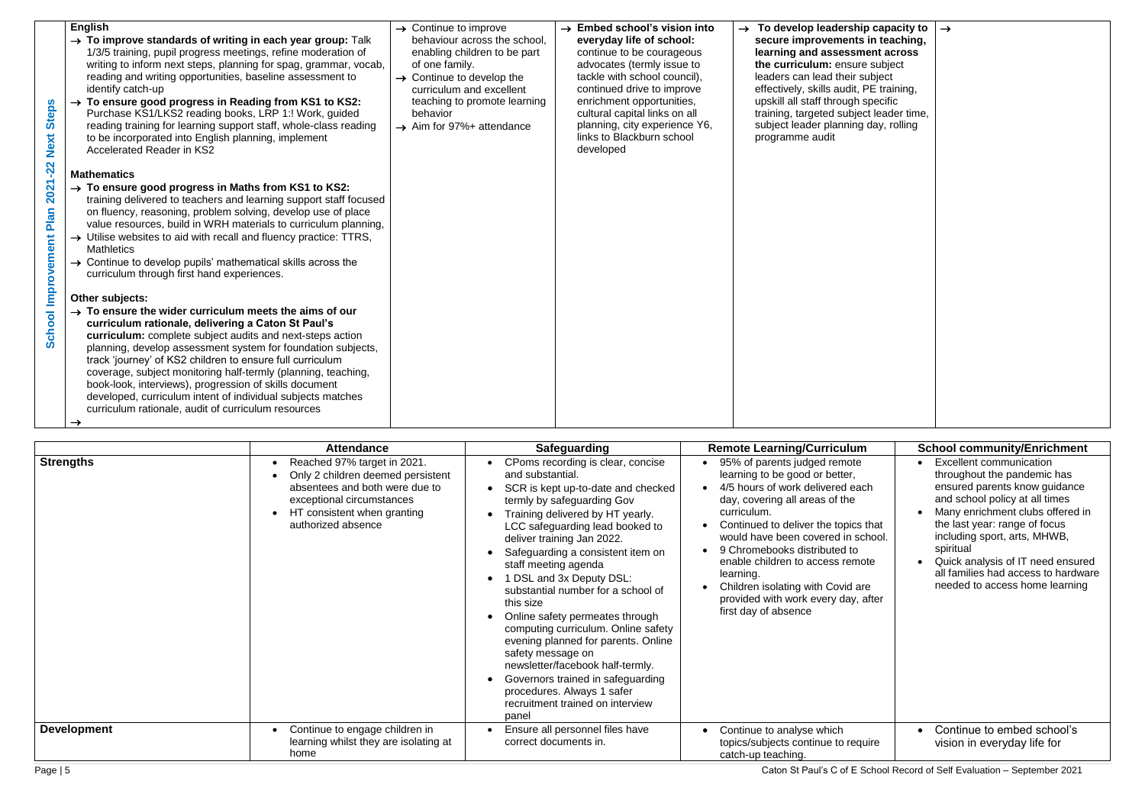| <b>English</b><br>$\rightarrow$ To improve standards of writing in each year group: Talk<br>1/3/5 training, pupil progress meetings, refine moderation of<br>writing to inform next steps, planning for spag, grammar, vocab,<br>reading and writing opportunities, baseline assessment to<br>identify catch-up<br>$\rightarrow$ To ensure good progress in Reading from KS1 to KS2:<br><b>Steps</b><br>Purchase KS1/LKS2 reading books, LRP 1:! Work, guided<br>reading training for learning support staff, whole-class reading<br>Next<br>to be incorporated into English planning, implement<br><b>Accelerated Reader in KS2</b><br>$-22$<br><b>Mathematics</b><br>2021<br>$\rightarrow$ To ensure good progress in Maths from KS1 to KS2:<br>training delivered to teachers and learning support staff focused<br>Plan<br>on fluency, reasoning, problem solving, develop use of place<br>value resources, build in WRH materials to curriculum planning,<br>$\rightarrow$ Utilise websites to aid with recall and fluency practice: TTRS,<br><b>School Improvement</b><br><b>Mathletics</b><br>$\rightarrow$ Continue to develop pupils' mathematical skills across the<br>curriculum through first hand experiences.<br>Other subjects:<br>$\rightarrow$ To ensure the wider curriculum meets the aims of our<br>curriculum rationale, delivering a Caton St Paul's<br>curriculum: complete subject audits and next-steps action<br>planning, develop assessment system for foundation subjects,<br>track 'journey' of KS2 children to ensure full curriculum<br>coverage, subject monitoring half-termly (planning, teaching,<br>book-look, interviews), progression of skills document<br>developed, curriculum intent of individual subjects matches<br>curriculum rationale, audit of curriculum resources<br>$\rightarrow$ | $\rightarrow$ Continue to improve<br>of one family.<br>$\rightarrow$ Continue to develop the<br>behavior<br>$\rightarrow$ Aim for 97%+ attendance                                                                                   | behaviour across the school,<br>enabling children to be part<br>curriculum and excellent<br>teaching to promote learning | $\rightarrow$ Embed school's vision into<br>everyday life of school:<br>continue to be courageous<br>advocates (termly issue to<br>tackle with school council),<br>continued drive to improve<br>enrichment opportunities,<br>cultural capital links on all<br>planning, city experience Y6,<br>links to Blackburn school<br>developed                                                                                                                                                                                                                                                               |                                     | $\rightarrow$ To develop leadership capacity to<br>secure improvements in teaching,<br>learning and assessment across<br>the curriculum: ensure subject<br>leaders can lead their subject<br>effectively, skills audit, PE training,<br>upskill all staff through specific<br>training, targeted subject leader time,<br>subject leader planning day, rolling<br>programme audit                                                                            | $\rightarrow$                                                                                                                                                                                                                                                                                                                                                                                   |
|----------------------------------------------------------------------------------------------------------------------------------------------------------------------------------------------------------------------------------------------------------------------------------------------------------------------------------------------------------------------------------------------------------------------------------------------------------------------------------------------------------------------------------------------------------------------------------------------------------------------------------------------------------------------------------------------------------------------------------------------------------------------------------------------------------------------------------------------------------------------------------------------------------------------------------------------------------------------------------------------------------------------------------------------------------------------------------------------------------------------------------------------------------------------------------------------------------------------------------------------------------------------------------------------------------------------------------------------------------------------------------------------------------------------------------------------------------------------------------------------------------------------------------------------------------------------------------------------------------------------------------------------------------------------------------------------------------------------------------------------------------------------------------------------------------------------------------------|-------------------------------------------------------------------------------------------------------------------------------------------------------------------------------------------------------------------------------------|--------------------------------------------------------------------------------------------------------------------------|------------------------------------------------------------------------------------------------------------------------------------------------------------------------------------------------------------------------------------------------------------------------------------------------------------------------------------------------------------------------------------------------------------------------------------------------------------------------------------------------------------------------------------------------------------------------------------------------------|-------------------------------------|-------------------------------------------------------------------------------------------------------------------------------------------------------------------------------------------------------------------------------------------------------------------------------------------------------------------------------------------------------------------------------------------------------------------------------------------------------------|-------------------------------------------------------------------------------------------------------------------------------------------------------------------------------------------------------------------------------------------------------------------------------------------------------------------------------------------------------------------------------------------------|
| <b>Strengths</b>                                                                                                                                                                                                                                                                                                                                                                                                                                                                                                                                                                                                                                                                                                                                                                                                                                                                                                                                                                                                                                                                                                                                                                                                                                                                                                                                                                                                                                                                                                                                                                                                                                                                                                                                                                                                                       | <b>Attendance</b><br>Reached 97% target in 2021.<br>Only 2 children deemed persistent<br>$\bullet$<br>absentees and both were due to<br>exceptional circumstances<br>HT consistent when granting<br>$\bullet$<br>authorized absence | and substantial.<br>staff meeting agenda<br>$\bullet$<br>this size<br>safety message on<br>panel                         | <b>Safeguarding</b><br>CPoms recording is clear, concise<br>SCR is kept up-to-date and checked<br>termly by safeguarding Gov<br>Training delivered by HT yearly.<br>LCC safeguarding lead booked to<br>deliver training Jan 2022.<br>Safeguarding a consistent item on<br>1 DSL and 3x Deputy DSL:<br>substantial number for a school of<br>Online safety permeates through<br>computing curriculum. Online safety<br>evening planned for parents. Online<br>newsletter/facebook half-termly.<br>Governors trained in safeguarding<br>procedures. Always 1 safer<br>recruitment trained on interview | $\bullet$<br>$\bullet$<br>$\bullet$ | <b>Remote Learning/Curriculum</b><br>95% of parents judged remote<br>learning to be good or better,<br>4/5 hours of work delivered each<br>day, covering all areas of the<br>curriculum.<br>Continued to deliver the topics that<br>would have been covered in school.<br>9 Chromebooks distributed to<br>enable children to access remote<br>learning.<br>Children isolating with Covid are<br>provided with work every day, after<br>first day of absence | <b>School community/Enrichment</b><br>Excellent communication<br>throughout the pandemic has<br>ensured parents know guidance<br>and school policy at all times<br>Many enrichment clubs offered in<br>the last year: range of focus<br>including sport, arts, MHWB,<br>spiritual<br>Quick analysis of IT need ensured<br>all families had access to hardware<br>needed to access home learning |
| <b>Development</b><br>Page   5                                                                                                                                                                                                                                                                                                                                                                                                                                                                                                                                                                                                                                                                                                                                                                                                                                                                                                                                                                                                                                                                                                                                                                                                                                                                                                                                                                                                                                                                                                                                                                                                                                                                                                                                                                                                         | Continue to engage children in<br>learning whilst they are isolating at<br>home                                                                                                                                                     | correct documents in.                                                                                                    | Ensure all personnel files have                                                                                                                                                                                                                                                                                                                                                                                                                                                                                                                                                                      |                                     | Continue to analyse which<br>topics/subjects continue to require<br>catch-up teaching.                                                                                                                                                                                                                                                                                                                                                                      | Continue to embed school's<br>vision in everyday life for<br>Caton St Paul's C of E School Record of Self Evaluation - September 2021                                                                                                                                                                                                                                                           |

|                    | <b>Attendance</b>                                                                                                                                                                    | Safeguarding                                                                                                                                                                                                                                                                                                                                                                                                                                                                                                                                                                                                                                                         | <b>Remote Learning/Curriculum</b>                                                                                                                                                                                                                                                                                                                                                                                                   | <b>School community/Enrichment</b>                                                                                                                                                                                                                                                                                                                               |
|--------------------|--------------------------------------------------------------------------------------------------------------------------------------------------------------------------------------|----------------------------------------------------------------------------------------------------------------------------------------------------------------------------------------------------------------------------------------------------------------------------------------------------------------------------------------------------------------------------------------------------------------------------------------------------------------------------------------------------------------------------------------------------------------------------------------------------------------------------------------------------------------------|-------------------------------------------------------------------------------------------------------------------------------------------------------------------------------------------------------------------------------------------------------------------------------------------------------------------------------------------------------------------------------------------------------------------------------------|------------------------------------------------------------------------------------------------------------------------------------------------------------------------------------------------------------------------------------------------------------------------------------------------------------------------------------------------------------------|
| <b>Strengths</b>   | Reached 97% target in 2021.<br>Only 2 children deemed persistent<br>absentees and both were due to<br>exceptional circumstances<br>HT consistent when granting<br>authorized absence | CPoms recording is clear, concise<br>and substantial.<br>SCR is kept up-to-date and checked<br>termly by safeguarding Gov<br>Training delivered by HT yearly.<br>LCC safeguarding lead booked to<br>deliver training Jan 2022.<br>Safeguarding a consistent item on<br>staff meeting agenda<br>1 DSL and 3x Deputy DSL:<br>substantial number for a school of<br>this size<br>Online safety permeates through<br>computing curriculum. Online safety<br>evening planned for parents. Online<br>safety message on<br>newsletter/facebook half-termly.<br>Governors trained in safeguarding<br>procedures. Always 1 safer<br>recruitment trained on interview<br>panel | 95% of parents judged remote<br>learning to be good or better,<br>4/5 hours of work delivered each<br>day, covering all areas of the<br>curriculum.<br>Continued to deliver the topics that<br>would have been covered in school.<br>9 Chromebooks distributed to<br>$\bullet$<br>enable children to access remote<br>learning.<br>Children isolating with Covid are<br>provided with work every day, after<br>first day of absence | <b>Excellent communication</b><br>throughout the pandemic has<br>ensured parents know guidance<br>and school policy at all times<br>Many enrichment clubs offered in<br>the last year: range of focus<br>including sport, arts, MHWB,<br>spiritual<br>Quick analysis of IT need ensured<br>all families had access to hardware<br>needed to access home learning |
| <b>Development</b> | Continue to engage children in<br>$\bullet$<br>learning whilst they are isolating at<br>home                                                                                         | Ensure all personnel files have<br>correct documents in.                                                                                                                                                                                                                                                                                                                                                                                                                                                                                                                                                                                                             | Continue to analyse which<br>topics/subjects continue to require<br>catch-up teaching.                                                                                                                                                                                                                                                                                                                                              | Continue to embed school's<br>vision in everyday life for                                                                                                                                                                                                                                                                                                        |